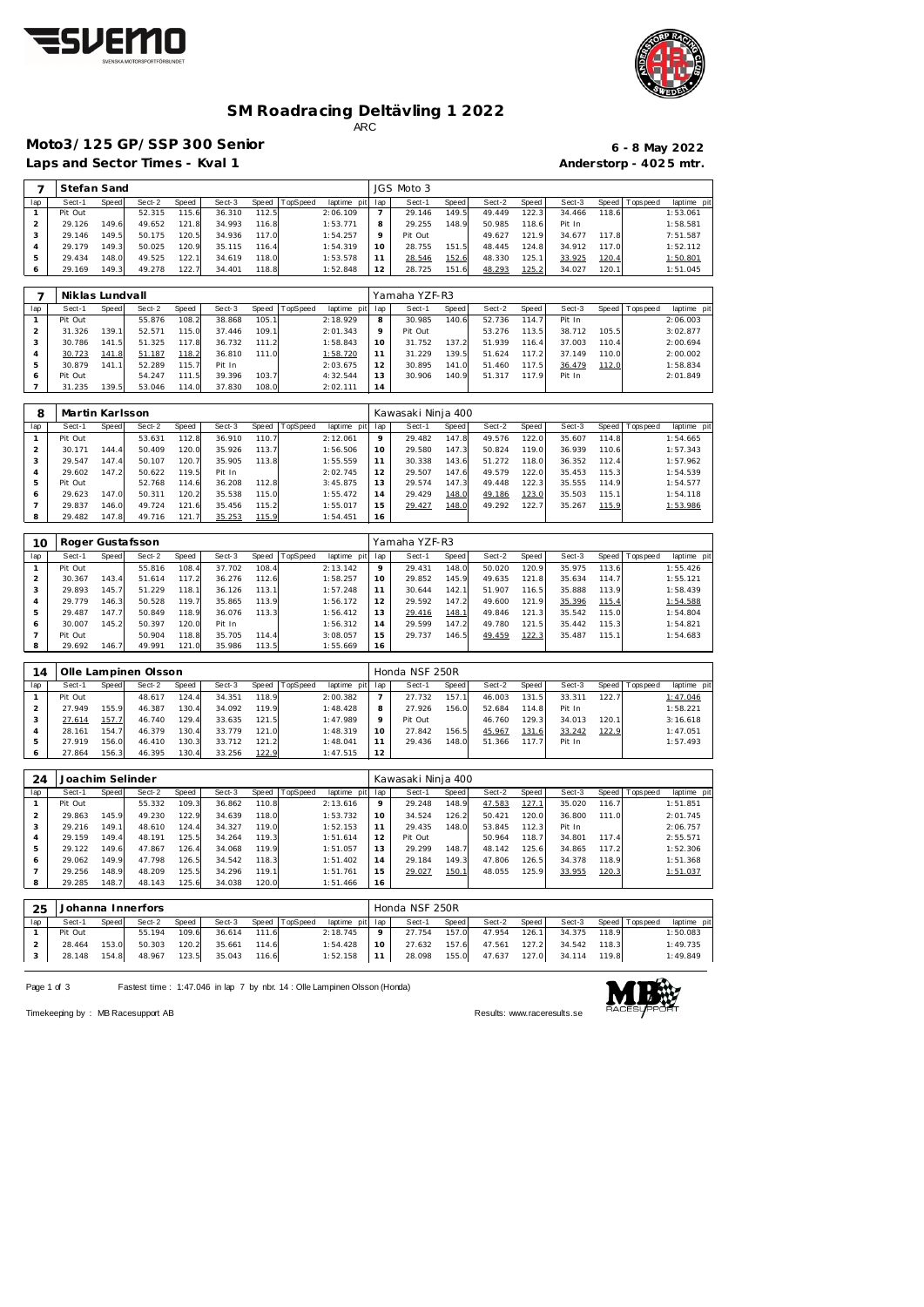



### **SM Roadracing Deltävling 1 2022** ARC

## **Moto3/125 GP/SSP 300 Senior 6 - 8 May 2022**

Laps and Sector Times - Kval 1 **Anderstorp - 4025 mtr.** 

|     | Stefan Sand |       |        |       |        |       |          |                 | JGS Moto 3 |         |        |        |        |        |            |             |
|-----|-------------|-------|--------|-------|--------|-------|----------|-----------------|------------|---------|--------|--------|--------|--------|------------|-------------|
| lap | Sect-1      | Speed | Sect-2 | Speed | Sect-3 | Speed | TopSpeed | laptime pit lap | Sect-1     | Speed I | Sect-2 | Speed  | Sect-3 | Speed  | T ops peed | laptime pit |
|     | Pit Out     |       | 52.315 | 115.6 | 36.310 | 112.5 |          | 2:06.109        | 29.146     | 149.5   | 49.449 | 122.3  | 34.466 | 118.61 |            | 1:53.061    |
|     | 29.126      | 149.6 | 49.652 | 121.8 | 34.993 | 116.8 |          | 1:53.771        | 29.255     | 148.9   | 50.985 | 118.61 | Pit In |        |            | 1:58.581    |
|     | 29.146      | 149.5 | 50.175 | 120.5 | 34.936 | 117.0 |          | 1:54.257        | Pit Out    |         | 49.627 | 121.9  | 34.677 | 117.8  |            | 7:51.587    |
|     | 29.179      | 149.3 | 50.025 | 120.9 | 35.115 | 116.4 |          | 1:54.319        | 28.755     | 151.5   | 48.445 | 124.8  | 34.912 | 117.0  |            | 1:52.112    |
|     | 29.434      | 148.0 | 49.525 | 122.1 | 34.619 | 118.0 |          | 1:53.578        | 28.546     | 152.6   | 48.330 | 125.1  | 33.925 | 120.4  |            | 1:50.801    |
|     | 29.169      | 149.3 | 49.278 | 122.7 | 34.401 | 118.8 |          | 1:52.848        | 28.725     | 151.6   | 48.293 | 125.2  | 34.027 | 120.1  |            | 1:51.045    |

|     | Niklas Lundvall |       |        |       |        |       |                |             |     | Yamaha YZF-R3 |       |        |       |        |       |                   |             |
|-----|-----------------|-------|--------|-------|--------|-------|----------------|-------------|-----|---------------|-------|--------|-------|--------|-------|-------------------|-------------|
| lap | Sect-1          | Speed | Sect-2 | Speed | Sect-3 |       | Speed TopSpeed | laptime pit | lap | Sect-1        | Speed | Sect-2 | Speed | Sect-3 |       | Speed   Tops peed | laptime pit |
|     | Pit Out         |       | 55.876 | 108.2 | 38.868 | 105.1 |                | 2:18.929    | 8   | 30.985        | 140.6 | 52.736 | 114.7 | Pit In |       |                   | 2:06.003    |
|     | 31.326          | 139.1 | 52.571 | 115.0 | 37.446 | 109.1 |                | 2:01.343    | 9   | Pit Out       |       | 53.276 | 113.5 | 38.712 | 105.5 |                   | 3:02.877    |
|     | 30.786          | 141.5 | 51.325 | 117.8 | 36.732 | 111.2 |                | 1:58.843    | 10  | 31.752        | 137.2 | 51.939 | 116.4 | 37.003 | 110.4 |                   | 2:00.694    |
|     | 30.723          | 141.8 | 51.187 | 118.2 | 36.810 | 111.0 |                | 1:58.720    | 11  | 31.229        | 139.5 | 51.624 | 117.2 | 37.149 | 110.0 |                   | 2:00.002    |
|     | 30.879          | 141.1 | 52.289 | 115.7 | Pit In |       |                | 2:03.675    | 12  | 30.895        | 141.0 | 51.460 | 117.5 | 36.479 | 112.0 |                   | 1:58.834    |
| 6   | Pit Out         |       | 54.247 | 111.5 | 39.396 | 103.7 |                | 4:32.544    | 13  | 30.906        | 140.9 | 51.317 | 117.9 | Pit In |       |                   | 2:01.849    |
|     | 31.235          | 139.5 | 53.046 | 114.0 | 37.830 | 108.0 |                | 2:02.111    | 14  |               |       |        |       |        |       |                   |             |

| 8   | Martin Karlsson |       |        |       |        |       |          |             |     | Kawasaki Ninja 400 |       |        |       |        |       |            |            |
|-----|-----------------|-------|--------|-------|--------|-------|----------|-------------|-----|--------------------|-------|--------|-------|--------|-------|------------|------------|
| lap | Sect-1          | Speed | Sect-2 | Speed | Sect-3 | Speed | TopSpeed | laptime pit | lap | Sect-1             | Speed | Sect-2 | Speed | Sect-3 | Speed | T ops peed | laptime pi |
|     | Pit Out         |       | 53.631 | 112.8 | 36.910 | 110.7 |          | 2:12.061    | 9   | 29.482             | 147.8 | 49.576 | 122.0 | 35.607 | 114.8 |            | 1:54.665   |
|     | 30.171          | 144.4 | 50.409 | 120.0 | 35.926 | 113.7 |          | 1:56.506    | 10  | 29.580             | 147.3 | 50.824 | 119.0 | 36.939 | 110.6 |            | 1:57.343   |
| 3   | 29.547          | 147.4 | 50.107 | 120.7 | 35.905 | 113.8 |          | 1:55.559    |     | 30.338             | 143.6 | 51.272 | 118.0 | 36.352 | 112.4 |            | 1:57.962   |
|     | 29.602          | 147.2 | 50.622 | 119.5 | Pit In |       |          | 2:02.745    | 12  | 29.507             | 147.6 | 49.579 | 122.0 | 35.453 | 115.3 |            | 1:54.539   |
| 5   | Pit Out         |       | 52.768 | 114.6 | 36.208 | 112.8 |          | 3:45.875    | 13  | 29.574             | 147.3 | 49.448 | 122.3 | 35.555 | 114.9 |            | 1:54.577   |
| 6   | 29.623          | 147.0 | 50.311 | 120.2 | 35.538 | 115.0 |          | 1:55.472    | 14  | 29.429             | 148.0 | 49.186 | 123.0 | 35.503 | 115.1 |            | 1:54.118   |
|     | 29.837          | 146.0 | 49.724 | 121.6 | 35.456 | 115.2 |          | 1:55.017    | 15  | 29.427             | 148.0 | 49.292 | 122.7 | 35.267 | 115.9 |            | 1:53.986   |
| 8   | 29.482          | 147.8 | 49.716 | 121.7 | 35.253 | 115.9 |          | 1:54.451    | 16  |                    |       |        |       |        |       |            |            |

| 10  |         |       | Roger Gustafsson |       |        |       |          |             |     | Yamaha YZF-R3 |              |        |       |        |       |                 |             |
|-----|---------|-------|------------------|-------|--------|-------|----------|-------------|-----|---------------|--------------|--------|-------|--------|-------|-----------------|-------------|
| lap | Sect-1  | Speed | Sect-2           | Speed | Sect-3 | Speed | TopSpeed | laptime pit | lap | Sect-1        | <b>Speed</b> | Sect-2 | Speed | Sect-3 |       | Speed Tops peed | laptime pit |
|     | Pit Out |       | 55.816           | 108.4 | 37.702 | 108.4 |          | 2:13.142    | 9   | 29.431        | 148.0        | 50.020 | 120.9 | 35.975 | 113.6 |                 | 1:55.426    |
|     | 30.367  | 143.4 | 51.614           | 117.2 | 36.276 | 112.6 |          | 1:58.257    | 10  | 29.852        | 145.9        | 49.635 | 121.8 | 35.634 | 114.7 |                 | 1:55.121    |
|     | 29.893  | 145.7 | 51.229           | 118.1 | 36.126 | 113.1 |          | 1:57.248    | 11  | 30.644        | 142.1        | 51.907 | 116.5 | 35.888 | 113.9 |                 | 1:58.439    |
| 4   | 29.779  | 146.3 | 50.528           | 119.7 | 35.865 | 113.9 |          | 1:56.172    | 12  | 29.592        | 147.2        | 49.600 | 121.9 | 35.396 | 115.4 |                 | 1:54.588    |
| 5   | 29.487  | 147.7 | 50.849           | 118.9 | 36.076 | 113.3 |          | 1:56.412    | 13  | 29.416        | 148.1        | 49.846 | 121.3 | 35.542 | 115.0 |                 | 1:54.804    |
| 6   | 30.007  | 145.2 | 50.397           | 120.0 | Pit In |       |          | 1:56.312    | 14  | 29.599        | 147.2        | 49.780 | 121.5 | 35.442 | 115.3 |                 | 1:54.821    |
|     | Pit Out |       | 50.904           | 118.8 | 35.705 | 114.4 |          | 3:08.057    | 15  | 29.737        | 146.5        | 49.459 | 122.3 | 35.487 | 115.1 |                 | 1:54.683    |
| 8   | 29.692  | 146.7 | 49.991           | 121.0 | 35.986 | 113.5 |          | 1:55.669    | 16  |               |              |        |       |        |       |                 |             |

| 14  |         |       | Olle Lampinen Olsson |       |        |       |          |             |         | Honda NSF 250R |       |        |       |        |       |                 |             |
|-----|---------|-------|----------------------|-------|--------|-------|----------|-------------|---------|----------------|-------|--------|-------|--------|-------|-----------------|-------------|
| lap | Sect-1  | Speed | Sect-2               | Speed | Sect-3 | Speed | TopSpeed | laptime pit | lap     | Sect-1         | Speed | Sect-2 | Speed | Sect-3 |       | Speed Tops peed | laptime pit |
|     | Pit Out |       | 48.617               | 124.4 | 34.351 | 118.9 |          | 2:00.382    |         | 27.732         | 157.1 | 46.003 | 131.5 | 33.311 | 122.7 |                 | 1:47.046    |
|     | 27.949  | 155.9 | 46.387               | 130.4 | 34.092 | 119.9 |          | 1:48.428    | 8       | 27.926         | 156.0 | 52.684 | 114.8 | Pit In |       |                 | 1:58.221    |
|     | 27.614  | 157.7 | 46.740               | 129.4 | 33.635 | 121.5 |          | 1:47.989    | $\circ$ | Pit Out        |       | 46.760 | 129.3 | 34.013 | 120.1 |                 | 3:16.618    |
|     | 28.161  | 154.7 | 46.379               | 130.4 | 33.779 | 121.0 |          | 1:48.319    | 10      | 27.842         | 156.5 | 45.967 | 131.6 | 33.242 | 122.9 |                 | 1:47.051    |
|     | 27.919  | 156.0 | 46.410               | 130.3 | 33.712 | 121.2 |          | 1:48.041    |         | 29.436         | 148.0 | 51.366 | 117.7 | Pit In |       |                 | 1:57.493    |
|     | 27.864  | 156.3 | 46.395               | 130.4 | 33.256 | 122.9 |          | 1:47.515    | 12      |                |       |        |       |        |       |                 |             |

| 24           | Joachim Selinder<br>TopSpeed<br>Sect-3<br>Speed<br>Sect-2<br>Speed<br>Speed<br>Sect-1<br>109.3<br>55.332<br>36.862<br>110.8<br>Pit Out<br>145.9<br>49.230<br>122.9<br>29.863<br>34.639<br>118.0<br>149.11<br>29.216<br>124.4<br>34.327<br>119.0<br>48.610<br>149.4<br>125.5<br>29.159<br>48.191<br>34.264<br>119.3 |       |        |       |        |       |  |             |         | Kawasaki Ninja 400 |       |        |              |        |       |                |             |
|--------------|--------------------------------------------------------------------------------------------------------------------------------------------------------------------------------------------------------------------------------------------------------------------------------------------------------------------|-------|--------|-------|--------|-------|--|-------------|---------|--------------------|-------|--------|--------------|--------|-------|----------------|-------------|
| lap          |                                                                                                                                                                                                                                                                                                                    |       |        |       |        |       |  | laptime pit | lap     | Sect-1             | Speed | Sect-2 | Speed        | Sect-3 |       | Speed Topspeed | laptime pit |
|              |                                                                                                                                                                                                                                                                                                                    |       |        |       |        |       |  | 2:13.616    | $\circ$ | 29.248             | 148.9 | 47.583 | <u>127.1</u> | 35.020 | 116.7 |                | 1:51.851    |
|              |                                                                                                                                                                                                                                                                                                                    |       |        |       |        |       |  | 1:53.732    | 10      | 34.524             | 126.2 | 50.421 | 120.0        | 36.800 | 111.0 |                | 2:01.745    |
| 3            |                                                                                                                                                                                                                                                                                                                    |       |        |       |        |       |  | 1:52.153    | 11      | 29.435             | 148.0 | 53.845 | 112.3        | Pit In |       |                | 2:06.757    |
|              |                                                                                                                                                                                                                                                                                                                    |       |        |       |        |       |  | 1:51.614    | 12      | Pit Out            |       | 50.964 | 118.7        | 34.801 | 117.4 |                | 2:55.571    |
| 5            | 29.122                                                                                                                                                                                                                                                                                                             | 149.6 | 47.867 | 126.4 | 34.068 | 119.9 |  | 1:51.057    | 13      | 29.299             | 148.7 | 48.142 | 125.6        | 34.865 | 117.2 |                | 1:52.306    |
| <sub>0</sub> | 29.062                                                                                                                                                                                                                                                                                                             | 149.9 | 47.798 | 126.5 | 34.542 | 118.3 |  | 1:51.402    | 14      | 29.184             | 149.3 | 47.806 | 126.5        | 34.378 | 118.9 |                | 1:51.368    |
|              | 29.256                                                                                                                                                                                                                                                                                                             | 148.9 | 48.209 | 125.5 | 34.296 | 119.1 |  | 1:51.761    | 15      | 29.027             | 150.1 | 48.055 | 125.9        | 33.955 | 120.3 |                | 1:51.037    |
|              | 29.285                                                                                                                                                                                                                                                                                                             | 148.7 | 48.143 | 125.6 | 34.038 | 120.0 |  | 1:51.466    | 16      |                    |       |        |              |        |       |                |             |
|              |                                                                                                                                                                                                                                                                                                                    |       |        |       |        |       |  |             |         |                    |       |        |              |        |       |                |             |
|              |                                                                                                                                                                                                                                                                                                                    |       |        |       |        |       |  |             |         |                    |       |        |              |        |       |                |             |

| 25  |         |       | Johanna Innerfors |       |                                             |       |                       |                                                    | Honda NSF 250R |       |                           |                           |                       |             |
|-----|---------|-------|-------------------|-------|---------------------------------------------|-------|-----------------------|----------------------------------------------------|----------------|-------|---------------------------|---------------------------|-----------------------|-------------|
| lap | Sect-1  | Speed | Sect-2            | Speed |                                             |       | Sect-3 Speed TopSpeed | laptime pit lap                                    | Sect-1         | Speed | Sect-2 Speed              |                           | Sect-3 Speed Topspeed | laptime pit |
|     | Pit Out |       | 55.194            | 109.6 | 36.614 111.6                                |       |                       | $2:18.745$ 9                                       | 27.754 157.0   |       |                           | 47.954 126.1 34.375 118.9 |                       | 1:50.083    |
|     | 28.464  | 153.0 | 50.303 120.2      |       | 35.661                                      | 114.6 |                       | $1:54.428$   10                                    |                |       | 27.632 157.6 47.561 127.2 | 34.542 118.3              |                       | 1:49.735    |
|     |         |       |                   |       | 28.148  154.8  48.967  123.5  35.043  116.6 |       |                       | 1:52.158 11 28.098 155.0 47.637 127.0 34.114 119.8 |                |       |                           |                           |                       | 1:49.849    |

Page 1 of 3 Fastest time : 1:47.046 in lap 7 by nbr. 14 : Olle Lampinen Olsson (Honda)



Timekeeping by : MB Racesupport AB Results:<www.raceresults.se>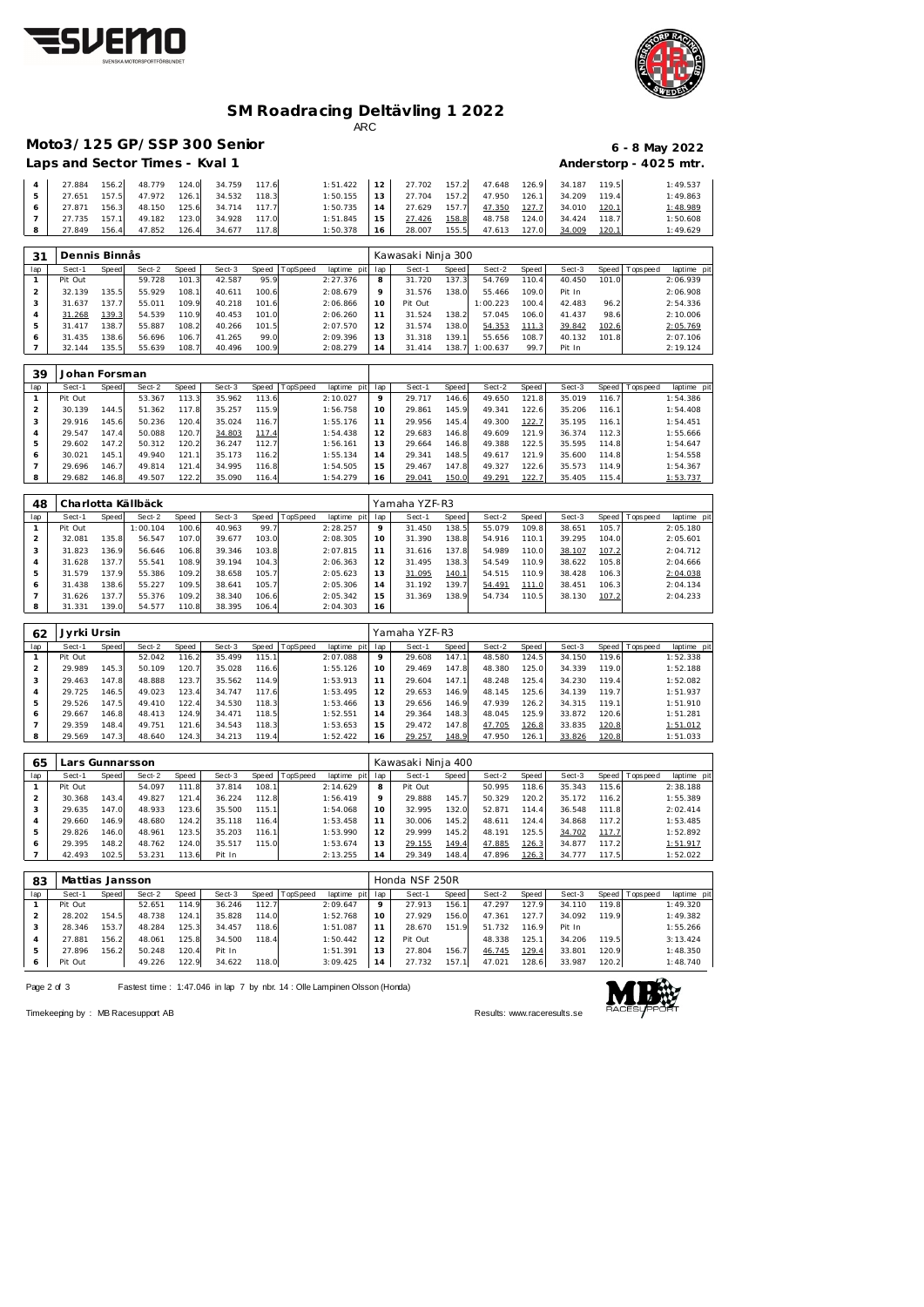



### **SM Roadracing Deltävling 1 2022** ARC

**Moto3/125 GP/SSP 300 Senior 6 - 8 May 2022**

| Laps and Sector Times - Kval 1 |       |        |       |                                 |       |                 |                 |        |       |        |       |                           |       | Anderstorp - 4025 mtr. |
|--------------------------------|-------|--------|-------|---------------------------------|-------|-----------------|-----------------|--------|-------|--------|-------|---------------------------|-------|------------------------|
| 27.884                         |       |        |       | 156.2 48.779 124.0 34.759 117.6 |       | $1:51.422$   12 |                 | 27.702 | 157.2 |        |       | 47.648 126.9 34.187 119.5 |       | 1:49.537               |
| 27.651                         | 157.5 | 47.972 | 126.1 | 34.532                          | 118.3 | 1:50.155        | 13 <sub>1</sub> | 27.704 | 157.2 | 47.950 | 126.1 | 34.209                    | 119.4 | 1:49.863               |
| 27.871                         | 156.3 | 48.150 | 125.6 | 34.714                          | 117.7 | 1:50.735        | 14              | 27.629 | 157.7 | 47.350 | 127.7 | 34.010                    | 120.1 | 1:48.989               |
| 27.735                         | 157.1 | 49.182 | 123.0 | 34.928                          | 117.0 | 1:51.845        | 15.             | 27.426 | 158.8 | 48.758 | 124.0 | 34.424                    | 118.7 | 1:50.608               |
| 27.849                         | 156.4 | 47.852 | 126.4 | 34.677                          | 117.8 | 1:50.378        | 16              | 28.007 | 155.5 | 47.613 | 127.0 | 34.009                    | 120.1 | 1:49.629               |

| 31  | Dennis Binnas |       |        |       |        |       |          |             |                | Kawasaki Ninja 300 |       |          |       |        |       |                 |             |
|-----|---------------|-------|--------|-------|--------|-------|----------|-------------|----------------|--------------------|-------|----------|-------|--------|-------|-----------------|-------------|
| lap | Sect-1        | Speed | Sect-2 | Speed | Sect-3 | Speed | TopSpeed | laptime pit | lap            | Sect-1             | Speed | Sect-2   | Speed | Sect-3 |       | Speed Tops peed | laptime pit |
|     | Pit Out       |       | 59.728 | 101.3 | 42.587 | 95.9  |          | 2:27.376    | 8              | 31.720             | 137.3 | 54.769   | 110.4 | 40.450 | 101.0 |                 | 2:06.939    |
|     | 32.139        | 135.5 | 55.929 | 108.1 | 40.611 | 100.6 |          | 2:08.679    | 9              | 31.576             | 138.0 | 55.466   | 109.0 | Pit In |       |                 | 2:06.908    |
| 3   | 31.637        | 137.7 | 55.011 | 109.9 | 40.218 | 101.6 |          | 2:06.866    | 10             | Pit Out            |       | 1:00.223 | 100.4 | 42.483 | 96.2  |                 | 2:54.336    |
|     | 31.268        | 139.3 | 54.539 | 110.9 | 40.453 | 101.0 |          | 2:06.260    |                | 31.524             | 138.2 | 57.045   | 106.0 | 41.437 | 98.6  |                 | 2:10.006    |
| 5   | 31.417        | 138.7 | 55.887 | 108.2 | 40.266 | 101.5 |          | 2:07.570    | 12             | 31.574             | 138.0 | 54.353   | 111.3 | 39.842 | 102.6 |                 | 2:05.769    |
| 6   | 31.435        | 138.6 | 56.696 | 106.7 | 41.265 | 99.0  |          | 2:09.396    | 13             | 31.318             | 139.1 | 55.656   | 108.7 | 40.132 | 101.8 |                 | 2:07.106    |
|     | 32.144        | 135.5 | 55.639 | 108.7 | 40.496 | 100.9 |          | 2:08.279    | $\overline{4}$ | 31.414             | 138.7 | 1:00.637 | 99.7  | Pit In |       |                 | 2:19.124    |

| 39  | Johan Forsman |       |        |       |        |       |                  |             |     |        |       |        |         |        |       |                 |             |
|-----|---------------|-------|--------|-------|--------|-------|------------------|-------------|-----|--------|-------|--------|---------|--------|-------|-----------------|-------------|
| lap | Sect-1        | Speed | Sect-2 | Speed | Sect-3 |       | Speed   TopSpeed | laptime pit | lap | Sect-1 | Speed | Sect-2 | Speed ' | Sect-3 |       | Speed Tops peed | laptime pit |
|     | Pit Out       |       | 53.367 | 113.3 | 35.962 | 113.6 |                  | 2:10.027    | Q   | 29.717 | 146.6 | 49.650 | 121.8   | 35.019 | 116.7 |                 | 1:54.386    |
|     | 30.139        | 144.5 | 51.362 | 117.8 | 35.257 | 115.9 |                  | 1:56.758    | 10  | 29.861 | 145.9 | 49.341 | 122.6   | 35.206 | 116.1 |                 | 1:54.408    |
| 3   | 29.916        | 145.6 | 50.236 | 120.4 | 35.024 | 116.7 |                  | 1:55.176    |     | 29.956 | 145.4 | 49.300 | 122.7   | 35.195 | 116.1 |                 | 1:54.451    |
| 4   | 29.547        | 147.4 | 50.088 | 120.7 | 34.803 | 117.4 |                  | 1:54.438    | 12  | 29.683 | 146.8 | 49.609 | 121.9   | 36.374 | 112.3 |                 | 1:55.666    |
| 5   | 29.602        | 147.2 | 50.312 | 120.2 | 36.247 | 112.7 |                  | 1:56.161    | 13  | 29.664 | 146.8 | 49.388 | 122.5   | 35.595 | 114.8 |                 | 1:54.647    |
| 6   | 30.021        | 145.1 | 49.940 | 121.1 | 35.173 | 116.2 |                  | 1:55.134    | 14  | 29.341 | 148.5 | 49.617 | 121.9   | 35.600 | 114.8 |                 | 1:54.558    |
|     | 29.696        | 146.7 | 49.814 | 121.4 | 34.995 | 116.8 |                  | 1:54.505    | 15  | 29.467 | 147.8 | 49.327 | 122.6   | 35.573 | 114.9 |                 | 1:54.367    |
| 8   | 29.682        | 146.8 | 49.507 | 122.2 | 35.090 | 116.4 |                  | 1:54.279    | 16  | 29.041 | 150.0 | 49.291 | 122.7   | 35.405 | 115.4 |                 | 1:53.737    |

| 48  |         |                    | Charlotta Källbäck |       |        |       |                |             |     | Yamaha YZF-R3 |       |        |       |        |       |                   |             |
|-----|---------|--------------------|--------------------|-------|--------|-------|----------------|-------------|-----|---------------|-------|--------|-------|--------|-------|-------------------|-------------|
| lap | Sect-1  | Speed              | Sect-2             | Speed | Sect-3 |       | Speed TopSpeed | laptime pit | lap | Sect-1        | Speed | Sect-2 | Speed | Sect-3 |       | Speed   Tops peed | laptime pit |
|     | Pit Out |                    | 1:00.104           | 100.6 | 40.963 | 99.7  |                | 2:28.257    | 9   | 31.450        | 138.5 | 55.079 | 109.8 | 38.651 | 105.7 |                   | 2:05.180    |
|     | 32.081  | 135.8              | 56.547             | 107.0 | 39.677 | 103.0 |                | 2:08.305    | 10  | 31.390        | 138.8 | 54.916 | 110.1 | 39.295 | 104.0 |                   | 2:05.601    |
|     | 31.823  | 136.9              | 56.646             | 106.8 | 39.346 | 103.8 |                | 2:07.815    | 11  | 31.616        | 137.8 | 54.989 | 110.0 | 38.107 | 107.2 |                   | 2:04.712    |
| 4   | 31.628  | 137.7 <sub>1</sub> | 55.541             | 108.9 | 39.194 | 104.3 |                | 2:06.363    | 12  | 31.495        | 138.3 | 54.549 | 110.9 | 38.622 | 105.8 |                   | 2:04.666    |
| 5   | 31.579  | 137.9              | 55.386             | 109.2 | 38.658 | 105.7 |                | 2:05.623    | 13  | 31.095        | 140.1 | 54.515 | 110.9 | 38.428 | 106.3 |                   | 2:04.038    |
| 6   | 31.438  | 138.6              | 55.227             | 109.5 | 38.641 | 105.7 |                | 2:05.306    | 14  | 31.192        | 139.7 | 54.491 | 111.0 | 38.451 | 106.3 |                   | 2:04.134    |
|     | 31.626  | 137.7              | 55.376             | 109.2 | 38.340 | 106.6 |                | 2:05.342    | 15  | 31.369        | 138.9 | 54.734 | 110.5 | 38.130 | 107.2 |                   | 2:04.233    |
| 8   | 31.331  | 139.0              | 54.577             | 110.8 | 38.395 | 106.4 |                | 2:04.303    | 16  |               |       |        |       |        |       |                   |             |

| 62  | Jyrki Ursin |       |        |       |        |       |                |                |         | Yamaha YZF-R3 |       |        |         |        |       |                 |             |  |
|-----|-------------|-------|--------|-------|--------|-------|----------------|----------------|---------|---------------|-------|--------|---------|--------|-------|-----------------|-------------|--|
| lap | Sect-1      | Speed | Sect-2 | Speed | Sect-3 |       | Speed TopSpeed | laptime<br>pit | lap     | Sect-1        | Speed | Sect-2 | Speed I | Sect-3 |       | Speed Tops peed | laptime pit |  |
|     | Pit Out     |       | 52.042 | 116.2 | 35.499 | 115.1 |                | 2:07.088       | $\circ$ | 29.608        | 147.1 | 48.580 | 124.5   | 34.150 | 119.6 |                 | 1:52.338    |  |
|     | 29.989      | 145.3 | 50.109 | 120.7 | 35.028 | 116.6 |                | 1:55.126       | 10      | 29.469        | 147.8 | 48.380 | 125.0   | 34.339 | 119.0 |                 | 1:52.188    |  |
| 3   | 29.463      | 147.8 | 48.888 | 123.7 | 35.562 | 114.9 |                | 1:53.913       |         | 29.604        | 147.1 | 48.248 | 125.4   | 34.230 | 119.4 |                 | 1:52.082    |  |
| 4   | 29.725      | 146.5 | 49.023 | 123.4 | 34.747 | 117.6 |                | 1:53.495       | 12      | 29.653        | 146.9 | 48.145 | 125.6   | 34.139 | 119.7 |                 | 1:51.937    |  |
| 5   | 29.526      | 147.5 | 49.410 | 122.4 | 34.530 | 118.3 |                | 1:53.466       | ' 3     | 29.656        | 146.9 | 47.939 | 126.2   | 34.315 | 119.1 |                 | 1:51.910    |  |
| 6   | 29.667      | 146.8 | 48.413 | 124.9 | 34.471 | 118.5 |                | 1:52.551       | 14      | 29.364        | 148.3 | 48.045 | 125.9   | 33.872 | 120.6 |                 | 1:51.281    |  |
|     | 29.359      | 148.4 | 49.751 | 121.6 | 34.543 | 118.3 |                | 1:53.653       | .5      | 29.472        | 147.8 | 47.705 | 126.8   | 33.835 | 120.8 |                 | 1:51.012    |  |
| 8   | 29.569      | 147.3 | 48.640 | 124.3 | 34.213 | 119.4 |                | 1:52.422       | 6       | 29.257        | 148.9 | 47.950 | 126.1   | 33.826 | 120.8 |                 | 1:51.033    |  |

| 65             | Lars Gunnarsson |       |        |       |        |       |                |             |     | Kawasaki Ninja 400 |       |        |       |        |       |                |             |  |  |  |
|----------------|-----------------|-------|--------|-------|--------|-------|----------------|-------------|-----|--------------------|-------|--------|-------|--------|-------|----------------|-------------|--|--|--|
| lap            | Sect-1          | Speed | Sect-2 | Speed | Sect-3 |       | Speed TopSpeed | laptime pit | lap | Sect-1             | Speed | Sect-2 | Speed | Sect-3 |       | Speed Topspeed | laptime pit |  |  |  |
|                | Pit Out         |       | 54.097 | 111.8 | 37.814 | 108.1 |                | 2:14.629    | 8   | Pit Out            |       | 50.995 | 118.6 | 35.343 | 115.6 |                | 2:38.188    |  |  |  |
|                | 30.368          | 143.4 | 49.827 | 121.4 | 36.224 | 112.8 |                | 1:56.419    | 9   | 29.888             | 145.7 | 50.329 | 120.2 | 35.172 | 116.2 |                | 1:55.389    |  |  |  |
| 3              | 29.635          | 147.0 | 48.933 | 123.6 | 35.500 | 115.1 |                | 1:54.068    | 10  | 32.995             | 132.0 | 52.871 | 114.4 | 36.548 | 111.8 |                | 2:02.414    |  |  |  |
| $\overline{4}$ | 29.660          | 146.9 | 48.680 | 124.2 | 35.118 | 116.4 |                | 1:53.458    | 11  | 30.006             | 145.2 | 48.611 | 124.4 | 34.868 | 117.2 |                | 1:53.485    |  |  |  |
| 5              | 29.826          | 146.0 | 48.961 | 123.5 | 35.203 | 116.1 |                | 1:53.990    | 12  | 29.999             | 145.2 | 48.191 | 125.5 | 34.702 | 117.7 |                | 1:52.892    |  |  |  |
| 6              | 29.395          | 148.2 | 48.762 | 124.0 | 35.517 | 115.0 |                | 1:53.674    | 13  | 29.155             | 149.4 | 47.885 | 126.3 | 34.877 | 117.2 |                | 1:51.917    |  |  |  |
|                | 42.493          | 102.5 | 53.231 | 113.6 | Pit In |       |                | 2:13.255    | 14  | 29.349             | 148.4 | 47.896 | 126.3 | 34.777 | 117.5 |                | 1:52.022    |  |  |  |

| 83  | Mattias Jansson |       |        |       |        |       |                 |             |                | Honda NSF 250R |       |        |       |        |       |                 |             |  |  |  |
|-----|-----------------|-------|--------|-------|--------|-------|-----------------|-------------|----------------|----------------|-------|--------|-------|--------|-------|-----------------|-------------|--|--|--|
| lap | Sect-1          | Speed | Sect-2 | Speed | Sect-3 | Speed | <b>TopSpeed</b> | laptime pit | lap            | Sect-1         | Speed | Sect-2 | Speed | Sect-3 |       | Speed Tops peed | laptime pit |  |  |  |
|     | Pit Out         |       | 52.651 | 114.9 | 36.246 | 112.7 |                 | 2:09.647    |                | 27.913         | 156.1 | 47.297 | 127.9 | 34.110 | 119.8 |                 | 1:49.320    |  |  |  |
|     | 28.202          | 154.5 | 48.738 | 124.1 | 35.828 | 114.0 |                 | 1:52.768    |                | 27.929         | 156.0 | 47.361 | 127.7 | 34.092 | 119.9 |                 | 1:49.382    |  |  |  |
|     | 28.346          | 153.7 | 48.284 | 125.3 | 34.457 | 118.6 |                 | 1:51.087    |                | 28.670         | 151.9 | 51.732 | 116.9 | Pit In |       |                 | 1:55.266    |  |  |  |
|     | 27.881          | 156.2 | 48.061 | 125.8 | 34.500 | 118.4 |                 | 1:50.442    | $\mathcal{P}$  | Pit Out        |       | 48.338 | 125.1 | 34.206 | 119.5 |                 | 3:13.424    |  |  |  |
| h   | 27.896          | 156.2 | 50.248 | 120.4 | Pit In |       |                 | 1:51.391    | 3              | 27.804         | 156.7 | 46.745 | 129.4 | 33.801 | 120.9 |                 | 1:48.350    |  |  |  |
| O   | Pit Out         |       | 49.226 | 122.9 | 34.622 | 118.0 |                 | 3:09.425    | $\overline{4}$ | 27.732         | 157   | 47.021 | 128.6 | 33.987 | 120.2 |                 | 1:48.740    |  |  |  |

Page 2 of 3 Fastest time : 1:47.046 in lap 7 by nbr. 14 : Olle Lampinen Olsson (Honda)



Timekeeping by : MB Racesupport AB Results:<www.raceresults.se>